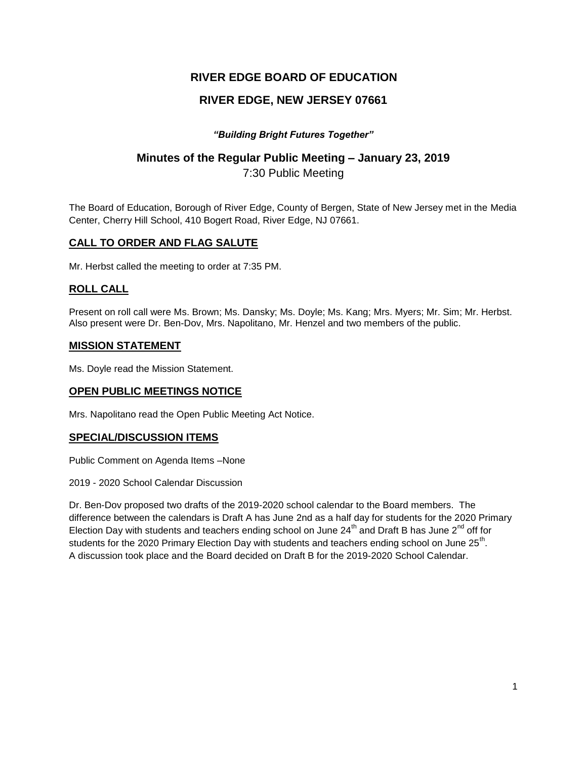## **RIVER EDGE BOARD OF EDUCATION**

## **RIVER EDGE, NEW JERSEY 07661**

### *"Building Bright Futures Together"*

# **Minutes of the Regular Public Meeting – January 23, 2019**

7:30 Public Meeting

The Board of Education, Borough of River Edge, County of Bergen, State of New Jersey met in the Media Center, Cherry Hill School, 410 Bogert Road, River Edge, NJ 07661.

### **CALL TO ORDER AND FLAG SALUTE**

Mr. Herbst called the meeting to order at 7:35 PM.

### **ROLL CALL**

Present on roll call were Ms. Brown; Ms. Dansky; Ms. Doyle; Ms. Kang; Mrs. Myers; Mr. Sim; Mr. Herbst. Also present were Dr. Ben-Dov, Mrs. Napolitano, Mr. Henzel and two members of the public.

### **MISSION STATEMENT**

Ms. Doyle read the Mission Statement.

### **OPEN PUBLIC MEETINGS NOTICE**

Mrs. Napolitano read the Open Public Meeting Act Notice.

### **SPECIAL/DISCUSSION ITEMS**

Public Comment on Agenda Items –None

2019 - 2020 School Calendar Discussion

Dr. Ben-Dov proposed two drafts of the 2019-2020 school calendar to the Board members. The difference between the calendars is Draft A has June 2nd as a half day for students for the 2020 Primary Election Day with students and teachers ending school on June  $24<sup>th</sup>$  and Draft B has June  $2<sup>nd</sup>$  off for students for the 2020 Primary Election Day with students and teachers ending school on June 25<sup>th</sup>. A discussion took place and the Board decided on Draft B for the 2019-2020 School Calendar.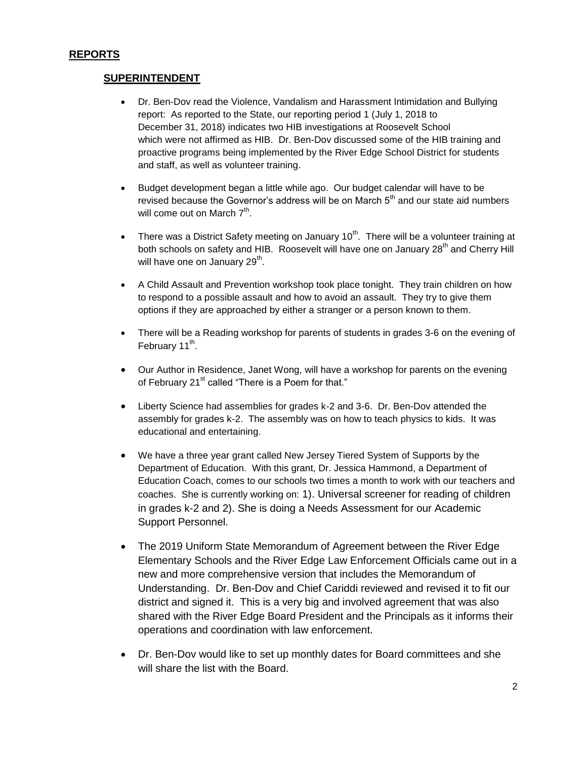### **SUPERINTENDENT**

- Dr. Ben-Dov read the Violence, Vandalism and Harassment Intimidation and Bullying report: As reported to the State, our reporting period 1 (July 1, 2018 to December 31, 2018) indicates two HIB investigations at Roosevelt School which were not affirmed as HIB. Dr. Ben-Dov discussed some of the HIB training and proactive programs being implemented by the River Edge School District for students and staff, as well as volunteer training.
- Budget development began a little while ago. Our budget calendar will have to be revised because the Governor's address will be on March  $5<sup>th</sup>$  and our state aid numbers will come out on March  $7^{\text{th}}$ .
- There was a District Safety meeting on January  $10^{th}$ . There will be a volunteer training at both schools on safety and HIB. Roosevelt will have one on January 28<sup>th</sup> and Cherry Hill will have one on January 29 $^{\text{th}}$ .
- A Child Assault and Prevention workshop took place tonight. They train children on how to respond to a possible assault and how to avoid an assault. They try to give them options if they are approached by either a stranger or a person known to them.
- There will be a Reading workshop for parents of students in grades 3-6 on the evening of February 11<sup>th</sup>.
- Our Author in Residence, Janet Wong, will have a workshop for parents on the evening of February 21<sup>st</sup> called "There is a Poem for that."
- Liberty Science had assemblies for grades k-2 and 3-6. Dr. Ben-Dov attended the assembly for grades k-2. The assembly was on how to teach physics to kids. It was educational and entertaining.
- We have a three year grant called New Jersey Tiered System of Supports by the Department of Education. With this grant, Dr. Jessica Hammond, a Department of Education Coach, comes to our schools two times a month to work with our teachers and coaches. She is currently working on: 1). Universal screener for reading of children in grades k-2 and 2). She is doing a Needs Assessment for our Academic Support Personnel.
- The 2019 Uniform State Memorandum of Agreement between the River Edge Elementary Schools and the River Edge Law Enforcement Officials came out in a new and more comprehensive version that includes the Memorandum of Understanding. Dr. Ben-Dov and Chief Cariddi reviewed and revised it to fit our district and signed it. This is a very big and involved agreement that was also shared with the River Edge Board President and the Principals as it informs their operations and coordination with law enforcement.
- Dr. Ben-Dov would like to set up monthly dates for Board committees and she will share the list with the Board.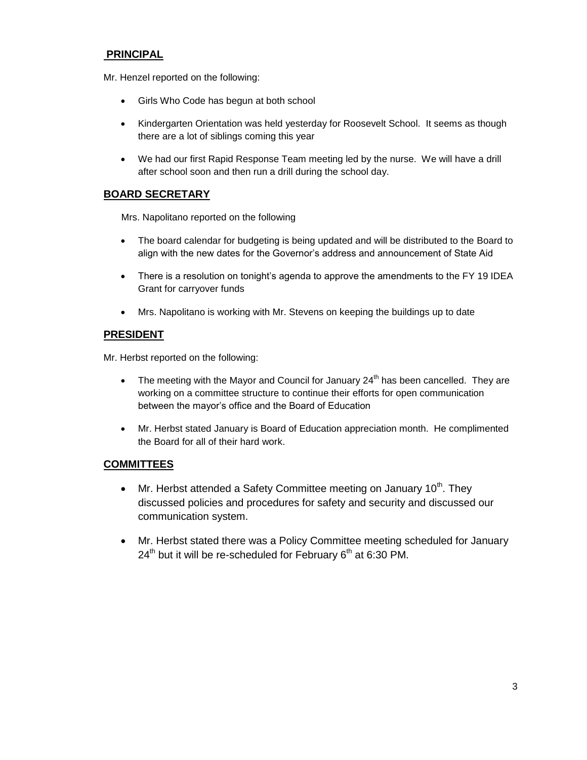## **PRINCIPAL**

Mr. Henzel reported on the following:

- Girls Who Code has begun at both school
- Kindergarten Orientation was held yesterday for Roosevelt School. It seems as though there are a lot of siblings coming this year
- We had our first Rapid Response Team meeting led by the nurse. We will have a drill after school soon and then run a drill during the school day.

## **BOARD SECRETARY**

Mrs. Napolitano reported on the following

- The board calendar for budgeting is being updated and will be distributed to the Board to align with the new dates for the Governor's address and announcement of State Aid
- There is a resolution on tonight's agenda to approve the amendments to the FY 19 IDEA Grant for carryover funds
- Mrs. Napolitano is working with Mr. Stevens on keeping the buildings up to date

### **PRESIDENT**

Mr. Herbst reported on the following:

- The meeting with the Mayor and Council for January  $24<sup>th</sup>$  has been cancelled. They are working on a committee structure to continue their efforts for open communication between the mayor's office and the Board of Education
- Mr. Herbst stated January is Board of Education appreciation month. He complimented the Board for all of their hard work.

### **COMMITTEES**

- Mr. Herbst attended a Safety Committee meeting on January 10<sup>th</sup>. They discussed policies and procedures for safety and security and discussed our communication system.
- Mr. Herbst stated there was a Policy Committee meeting scheduled for January  $24<sup>th</sup>$  but it will be re-scheduled for February 6<sup>th</sup> at 6:30 PM.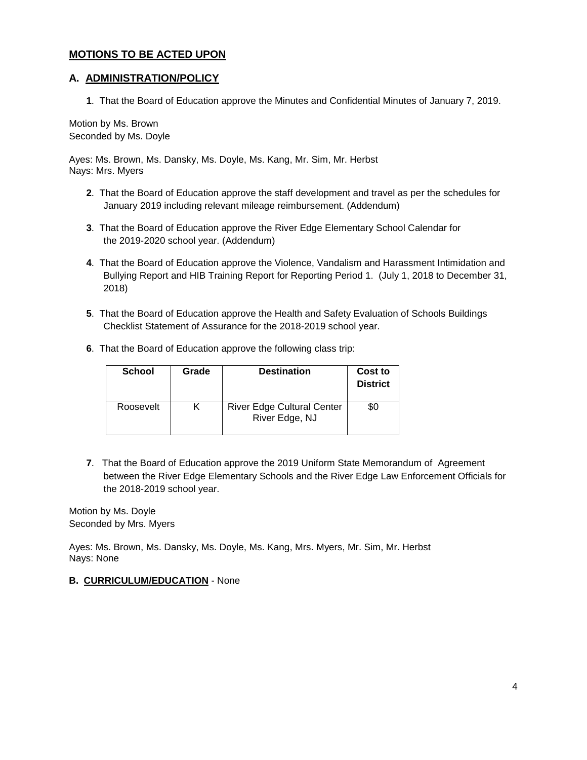### **MOTIONS TO BE ACTED UPON**

### **A. ADMINISTRATION/POLICY**

**1**. That the Board of Education approve the Minutes and Confidential Minutes of January 7, 2019.

Motion by Ms. Brown Seconded by Ms. Doyle

Ayes: Ms. Brown, Ms. Dansky, Ms. Doyle, Ms. Kang, Mr. Sim, Mr. Herbst Nays: Mrs. Myers

- **2**. That the Board of Education approve the staff development and travel as per the schedules for January 2019 including relevant mileage reimbursement. (Addendum)
- **3**. That the Board of Education approve the River Edge Elementary School Calendar for the 2019-2020 school year. (Addendum)
- **4**. That the Board of Education approve the Violence, Vandalism and Harassment Intimidation and Bullying Report and HIB Training Report for Reporting Period 1. (July 1, 2018 to December 31, 2018)
- **5**. That the Board of Education approve the Health and Safety Evaluation of Schools Buildings Checklist Statement of Assurance for the 2018-2019 school year.
- **6**. That the Board of Education approve the following class trip:

| <b>School</b> | Grade | <b>Destination</b>                                  | Cost to<br><b>District</b> |
|---------------|-------|-----------------------------------------------------|----------------------------|
| Roosevelt     | ĸ     | <b>River Edge Cultural Center</b><br>River Edge, NJ | \$0                        |

**7**. That the Board of Education approve the 2019 Uniform State Memorandum of Agreement between the River Edge Elementary Schools and the River Edge Law Enforcement Officials for the 2018-2019 school year.

Motion by Ms. Doyle Seconded by Mrs. Myers

Ayes: Ms. Brown, Ms. Dansky, Ms. Doyle, Ms. Kang, Mrs. Myers, Mr. Sim, Mr. Herbst Nays: None

**B. CURRICULUM/EDUCATION** - None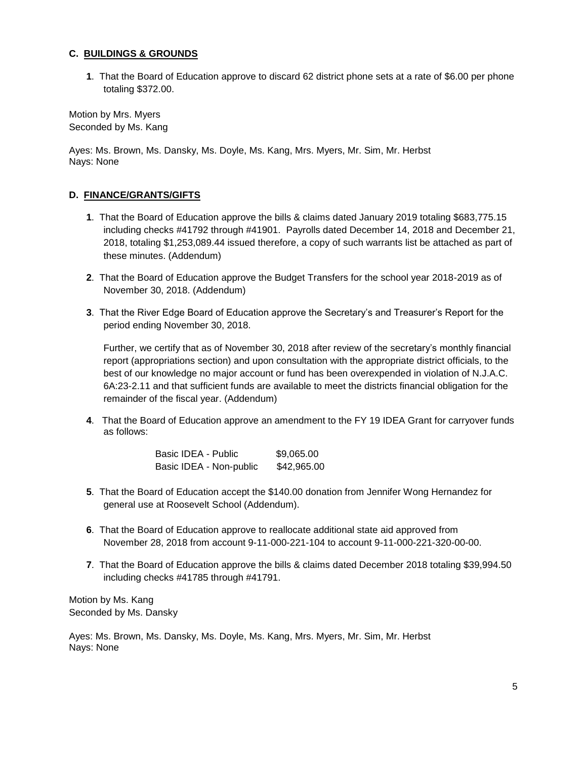#### **C. BUILDINGS & GROUNDS**

**1**. That the Board of Education approve to discard 62 district phone sets at a rate of \$6.00 per phone totaling \$372.00.

Motion by Mrs. Myers Seconded by Ms. Kang

Ayes: Ms. Brown, Ms. Dansky, Ms. Doyle, Ms. Kang, Mrs. Myers, Mr. Sim, Mr. Herbst Nays: None

### **D. FINANCE/GRANTS/GIFTS**

- **1**. That the Board of Education approve the bills & claims dated January 2019 totaling \$683,775.15 including checks #41792 through #41901. Payrolls dated December 14, 2018 and December 21, 2018, totaling \$1,253,089.44 issued therefore, a copy of such warrants list be attached as part of these minutes. (Addendum)
- **2**. That the Board of Education approve the Budget Transfers for the school year 2018-2019 as of November 30, 2018. (Addendum)
- **3**. That the River Edge Board of Education approve the Secretary's and Treasurer's Report for the period ending November 30, 2018.

Further, we certify that as of November 30, 2018 after review of the secretary's monthly financial report (appropriations section) and upon consultation with the appropriate district officials, to the best of our knowledge no major account or fund has been overexpended in violation of N.J.A.C. 6A:23-2.11 and that sufficient funds are available to meet the districts financial obligation for the remainder of the fiscal year. (Addendum)

**4**. That the Board of Education approve an amendment to the FY 19 IDEA Grant for carryover funds as follows:

| Basic IDEA - Public     | \$9,065.00  |
|-------------------------|-------------|
| Basic IDEA - Non-public | \$42,965.00 |

- **5**. That the Board of Education accept the \$140.00 donation from Jennifer Wong Hernandez for general use at Roosevelt School (Addendum).
- **6**. That the Board of Education approve to reallocate additional state aid approved from November 28, 2018 from account 9-11-000-221-104 to account 9-11-000-221-320-00-00.
- **7**. That the Board of Education approve the bills & claims dated December 2018 totaling \$39,994.50 including checks #41785 through #41791.

Motion by Ms. Kang Seconded by Ms. Dansky

Ayes: Ms. Brown, Ms. Dansky, Ms. Doyle, Ms. Kang, Mrs. Myers, Mr. Sim, Mr. Herbst Nays: None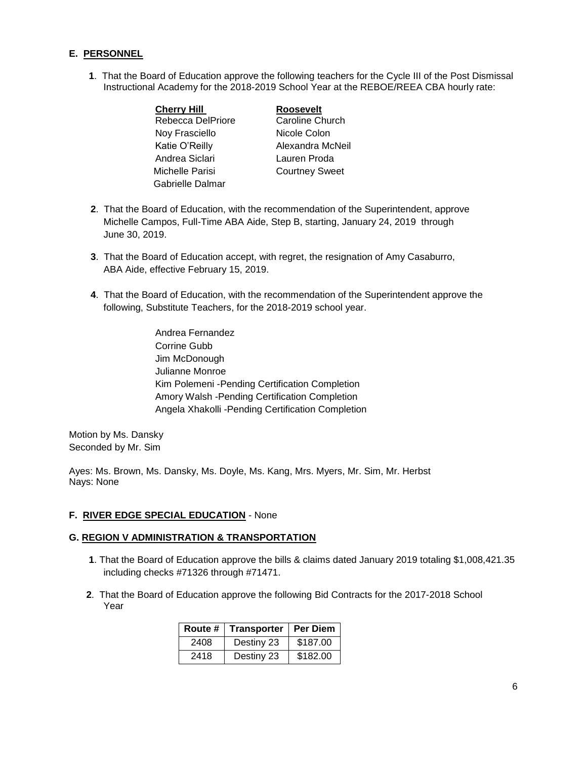### **E. PERSONNEL**

**1**. That the Board of Education approve the following teachers for the Cycle III of the Post Dismissal Instructional Academy for the 2018-2019 School Year at the REBOE/REEA CBA hourly rate:

| <b>Cherry Hill</b> | <b>Roosevelt</b>      |
|--------------------|-----------------------|
| Rebecca DelPriore  | Caroline Church       |
| Noy Frasciello     | Nicole Colon          |
| Katie O'Reilly     | Alexandra McNeil      |
| Andrea Siclari     | Lauren Proda          |
| Michelle Parisi    | <b>Courtney Sweet</b> |
| Gabrielle Dalmar   |                       |

- **2**. That the Board of Education, with the recommendation of the Superintendent, approve Michelle Campos, Full-Time ABA Aide, Step B, starting, January 24, 2019 through June 30, 2019.
- **3**. That the Board of Education accept, with regret, the resignation of Amy Casaburro, ABA Aide, effective February 15, 2019.
- **4**. That the Board of Education, with the recommendation of the Superintendent approve the following, Substitute Teachers, for the 2018-2019 school year.
	- Andrea Fernandez Corrine Gubb Jim McDonough Julianne Monroe Kim Polemeni -Pending Certification Completion Amory Walsh -Pending Certification Completion Angela Xhakolli -Pending Certification Completion

Motion by Ms. Dansky Seconded by Mr. Sim

Ayes: Ms. Brown, Ms. Dansky, Ms. Doyle, Ms. Kang, Mrs. Myers, Mr. Sim, Mr. Herbst Nays: None

#### **F. RIVER EDGE SPECIAL EDUCATION** - None

#### **G. REGION V ADMINISTRATION & TRANSPORTATION**

- **1**. That the Board of Education approve the bills & claims dated January 2019 totaling \$1,008,421.35 including checks #71326 through #71471.
- **2**. That the Board of Education approve the following Bid Contracts for the 2017-2018 School Year

| Route # | Transporter   Per Diem |          |
|---------|------------------------|----------|
| 2408    | Destiny 23             | \$187.00 |
| 2418    | Destiny 23             | \$182.00 |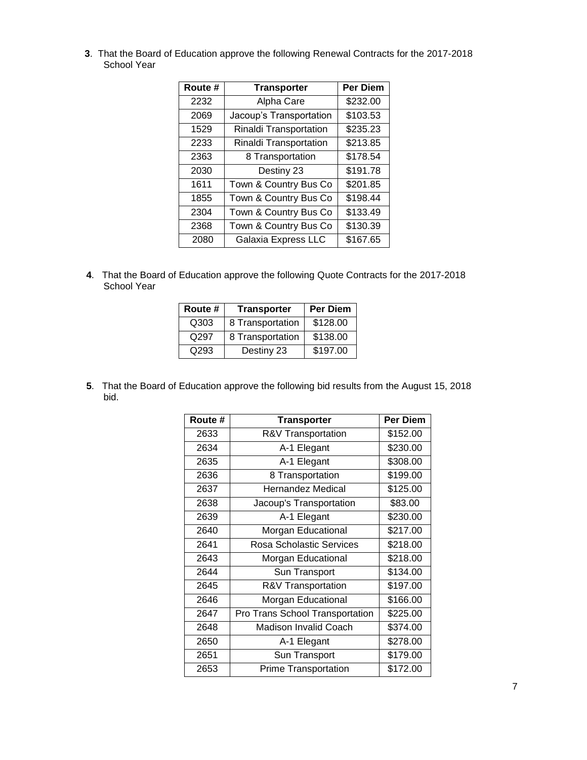. That the Board of Education approve the following Renewal Contracts for the 2017-2018 School Year

| Route # | <b>Transporter</b>      | <b>Per Diem</b> |
|---------|-------------------------|-----------------|
| 2232    | Alpha Care              | \$232.00        |
| 2069    | Jacoup's Transportation | \$103.53        |
| 1529    | Rinaldi Transportation  | \$235.23        |
| 2233    | Rinaldi Transportation  | \$213.85        |
| 2363    | 8 Transportation        | \$178.54        |
| 2030    | Destiny 23              | \$191.78        |
| 1611    | Town & Country Bus Co   | \$201.85        |
| 1855    | Town & Country Bus Co   | \$198.44        |
| 2304    | Town & Country Bus Co   | \$133.49        |
| 2368    | Town & Country Bus Co   | \$130.39        |
| 2080    | Galaxia Express LLC     | \$167.65        |

. That the Board of Education approve the following Quote Contracts for the 2017-2018 School Year

| Route # | <b>Transporter</b> | Per Diem |
|---------|--------------------|----------|
| Q303    | 8 Transportation   | \$128.00 |
| Q297    | 8 Transportation   | \$138.00 |
| O293    | Destiny 23         | \$197.00 |

. That the Board of Education approve the following bid results from the August 15, 2018 bid.

| Route # | <b>Transporter</b>              | <b>Per Diem</b> |
|---------|---------------------------------|-----------------|
| 2633    | R&V Transportation              | \$152.00        |
| 2634    | A-1 Elegant                     | \$230.00        |
| 2635    | A-1 Elegant                     | \$308.00        |
| 2636    | 8 Transportation                | \$199.00        |
| 2637    | Hernandez Medical               | \$125.00        |
| 2638    | Jacoup's Transportation         | \$83.00         |
| 2639    | A-1 Elegant                     | \$230.00        |
| 2640    | Morgan Educational              | \$217.00        |
| 2641    | Rosa Scholastic Services        | \$218.00        |
| 2643    | Morgan Educational              | \$218.00        |
| 2644    | Sun Transport                   | \$134.00        |
| 2645    | R&V Transportation              | \$197.00        |
| 2646    | Morgan Educational              | \$166.00        |
| 2647    | Pro Trans School Transportation | \$225.00        |
| 2648    | <b>Madison Invalid Coach</b>    | \$374.00        |
| 2650    | A-1 Elegant                     | \$278.00        |
| 2651    | Sun Transport                   | \$179.00        |
| 2653    | <b>Prime Transportation</b>     | \$172.00        |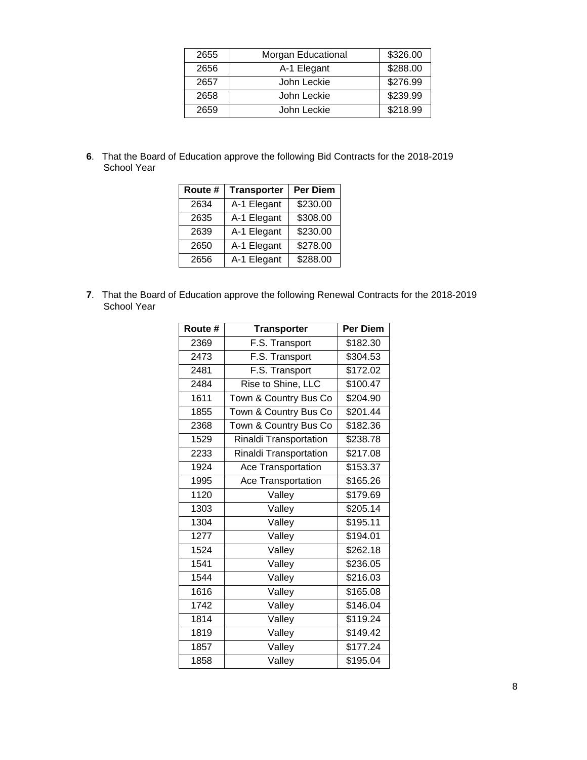| 2655 | Morgan Educational | \$326.00 |
|------|--------------------|----------|
| 2656 | A-1 Elegant        | \$288.00 |
| 2657 | John Leckie        | \$276.99 |
| 2658 | John Leckie        | \$239.99 |
| 2659 | John Leckie        | \$218.99 |

. That the Board of Education approve the following Bid Contracts for the 2018-2019 School Year

| Route # | <b>Transporter</b> | Per Diem |
|---------|--------------------|----------|
| 2634    | A-1 Elegant        | \$230.00 |
| 2635    | A-1 Elegant        | \$308.00 |
| 2639    | A-1 Elegant        | \$230.00 |
| 2650    | A-1 Elegant        | \$278.00 |
| 2656    | A-1 Elegant        | \$288.00 |

. That the Board of Education approve the following Renewal Contracts for the 2018-2019 School Year

| Route # | <b>Transporter</b>     | Per Diem |
|---------|------------------------|----------|
| 2369    | F.S. Transport         | \$182.30 |
| 2473    | F.S. Transport         | \$304.53 |
| 2481    | F.S. Transport         | \$172.02 |
| 2484    | Rise to Shine, LLC     | \$100.47 |
| 1611    | Town & Country Bus Co  | \$204.90 |
| 1855    | Town & Country Bus Co  | \$201.44 |
| 2368    | Town & Country Bus Co  | \$182.36 |
| 1529    | Rinaldi Transportation | \$238.78 |
| 2233    | Rinaldi Transportation | \$217.08 |
| 1924    | Ace Transportation     | \$153.37 |
| 1995    | Ace Transportation     | \$165.26 |
| 1120    | Valley                 | \$179.69 |
| 1303    | Valley                 | \$205.14 |
| 1304    | Valley                 | \$195.11 |
| 1277    | Valley                 | \$194.01 |
| 1524    | Valley                 | \$262.18 |
| 1541    | Valley                 | \$236.05 |
| 1544    | Valley                 | \$216.03 |
| 1616    | Valley                 | \$165.08 |
| 1742    | Valley                 | \$146.04 |
| 1814    | Valley                 | \$119.24 |
| 1819    | Valley                 | \$149.42 |
| 1857    | Valley                 | \$177.24 |
| 1858    | Valley                 | \$195.04 |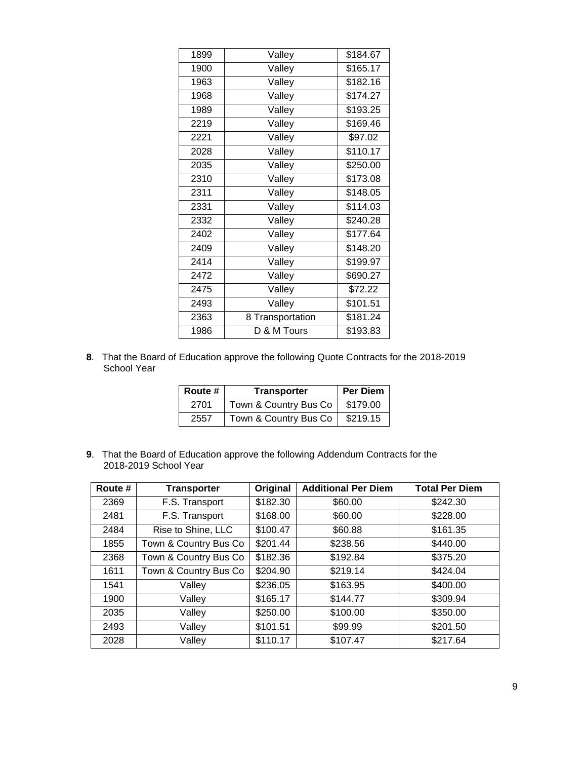| 1899 | Valley           | \$184.67 |
|------|------------------|----------|
| 1900 | Valley           | \$165.17 |
| 1963 | Valley           | \$182.16 |
| 1968 | Valley           | \$174.27 |
| 1989 | Valley           | \$193.25 |
| 2219 | Valley           | \$169.46 |
| 2221 | Valley           | \$97.02  |
| 2028 | Valley           | \$110.17 |
| 2035 | Valley           | \$250.00 |
| 2310 | Valley           | \$173.08 |
| 2311 | Valley           | \$148.05 |
| 2331 | Valley           | \$114.03 |
| 2332 | Valley           | \$240.28 |
| 2402 | Valley           | \$177.64 |
| 2409 | Valley           | \$148.20 |
| 2414 | Valley           | \$199.97 |
| 2472 | Valley           | \$690.27 |
| 2475 | Valley           | \$72.22  |
| 2493 | Valley           | \$101.51 |
| 2363 | 8 Transportation | \$181.24 |
| 1986 | D & M Tours      | \$193.83 |

. That the Board of Education approve the following Quote Contracts for the 2018-2019 School Year

| <b>Route #</b> | <b>Transporter</b>    | Per Diem |
|----------------|-----------------------|----------|
| 2701           | Town & Country Bus Co | \$179.00 |
| 2557           | Town & Country Bus Co | \$219.15 |

. That the Board of Education approve the following Addendum Contracts for the 2018-2019 School Year

| Route # | <b>Transporter</b>    | Original | <b>Additional Per Diem</b> | <b>Total Per Diem</b> |
|---------|-----------------------|----------|----------------------------|-----------------------|
| 2369    | F.S. Transport        | \$182.30 | \$60.00                    | \$242.30              |
| 2481    | F.S. Transport        | \$168.00 | \$60.00                    | \$228.00              |
| 2484    | Rise to Shine, LLC    | \$100.47 | \$60.88                    | \$161.35              |
| 1855    | Town & Country Bus Co | \$201.44 | \$238.56                   | \$440.00              |
| 2368    | Town & Country Bus Co | \$182.36 | \$192.84                   | \$375.20              |
| 1611    | Town & Country Bus Co | \$204.90 | \$219.14                   | \$424.04              |
| 1541    | Valley                | \$236.05 | \$163.95                   | \$400.00              |
| 1900    | Valley                | \$165.17 | \$144.77                   | \$309.94              |
| 2035    | Valley                | \$250.00 | \$100.00                   | \$350.00              |
| 2493    | Valley                | \$101.51 | \$99.99                    | \$201.50              |
| 2028    | Valley                | \$110.17 | \$107.47                   | \$217.64              |